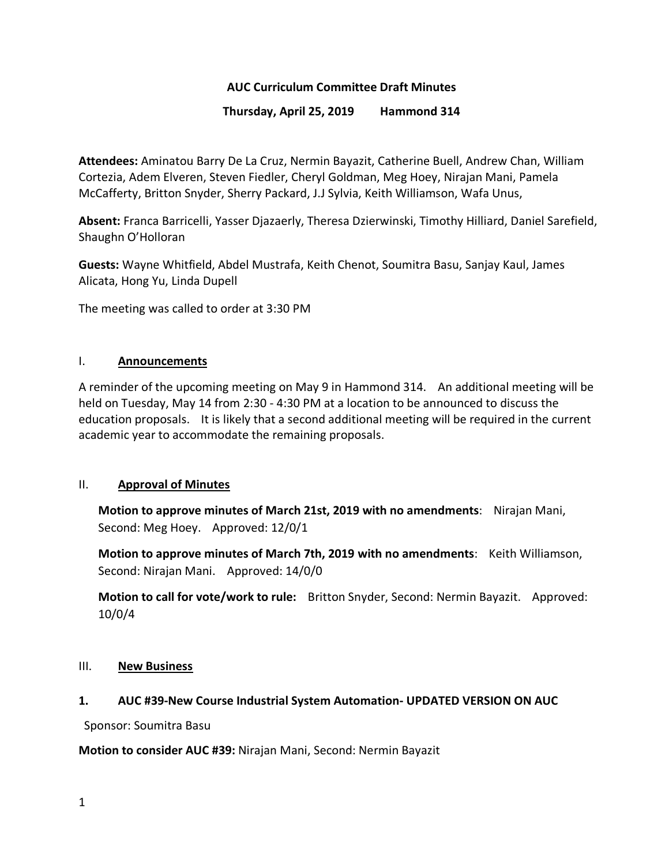#### **AUC Curriculum Committee Draft Minutes**

#### **Thursday, April 25, 2019 Hammond 314**

**Attendees:** Aminatou Barry De La Cruz, Nermin Bayazit, Catherine Buell, Andrew Chan, William Cortezia, Adem Elveren, Steven Fiedler, Cheryl Goldman, Meg Hoey, Nirajan Mani, Pamela McCafferty, Britton Snyder, Sherry Packard, J.J Sylvia, Keith Williamson, Wafa Unus,

**Absent:** Franca Barricelli, Yasser Djazaerly, Theresa Dzierwinski, Timothy Hilliard, Daniel Sarefield, Shaughn O'Holloran

**Guests:** Wayne Whitfield, Abdel Mustrafa, Keith Chenot, Soumitra Basu, Sanjay Kaul, James Alicata, Hong Yu, Linda Dupell

The meeting was called to order at 3:30 PM

#### I. **Announcements**

A reminder of the upcoming meeting on May 9 in Hammond 314. An additional meeting will be held on Tuesday, May 14 from 2:30 - 4:30 PM at a location to be announced to discuss the education proposals. It is likely that a second additional meeting will be required in the current academic year to accommodate the remaining proposals.

#### II. **Approval of Minutes**

**Motion to approve minutes of March 21st, 2019 with no amendments**: Nirajan Mani, Second: Meg Hoey. Approved: 12/0/1

**Motion to approve minutes of March 7th, 2019 with no amendments**: Keith Williamson, Second: Nirajan Mani. Approved: 14/0/0

**Motion to call for vote/work to rule:** Britton Snyder, Second: Nermin Bayazit. Approved: 10/0/4

#### III. **New Business**

#### **1. AUC #39-New Course Industrial System Automation- UPDATED VERSION ON AUC**

Sponsor: Soumitra Basu

#### **Motion to consider AUC #39:** Nirajan Mani, Second: Nermin Bayazit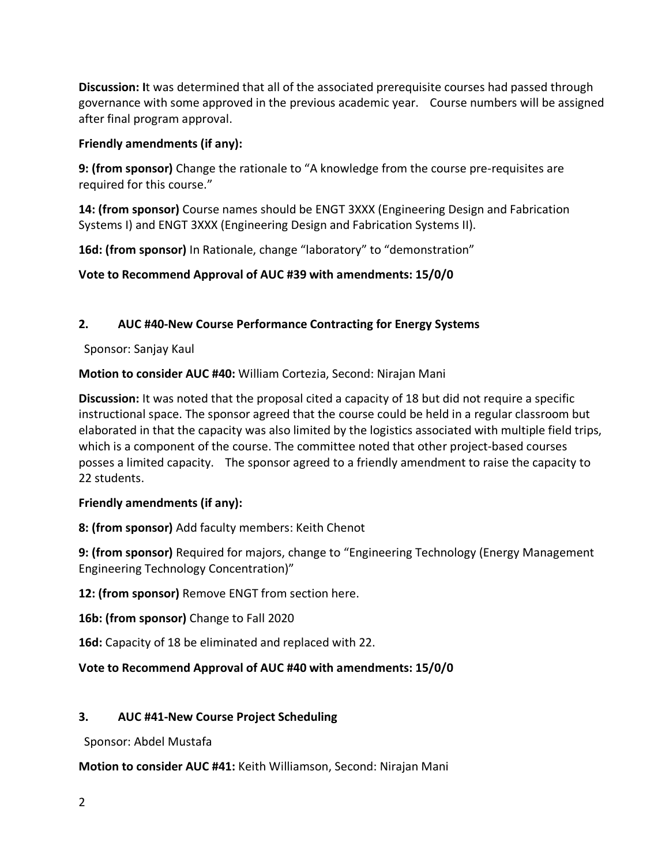**Discussion: I**t was determined that all of the associated prerequisite courses had passed through governance with some approved in the previous academic year. Course numbers will be assigned after final program approval.

## **Friendly amendments (if any):**

**9: (from sponsor)** Change the rationale to "A knowledge from the course pre-requisites are required for this course."

**14: (from sponsor)** Course names should be ENGT 3XXX (Engineering Design and Fabrication Systems I) and ENGT 3XXX (Engineering Design and Fabrication Systems II).

**16d: (from sponsor)** In Rationale, change "laboratory" to "demonstration"

**Vote to Recommend Approval of AUC #39 with amendments: 15/0/0**

# **2. AUC #40-New Course Performance Contracting for Energy Systems**

Sponsor: Sanjay Kaul

**Motion to consider AUC #40:** William Cortezia, Second: Nirajan Mani

**Discussion:** It was noted that the proposal cited a capacity of 18 but did not require a specific instructional space. The sponsor agreed that the course could be held in a regular classroom but elaborated in that the capacity was also limited by the logistics associated with multiple field trips, which is a component of the course. The committee noted that other project-based courses posses a limited capacity. The sponsor agreed to a friendly amendment to raise the capacity to 22 students.

# **Friendly amendments (if any):**

**8: (from sponsor)** Add faculty members: Keith Chenot

**9: (from sponsor)** Required for majors, change to "Engineering Technology (Energy Management Engineering Technology Concentration)"

**12: (from sponsor)** Remove ENGT from section here.

**16b: (from sponsor)** Change to Fall 2020

**16d:** Capacity of 18 be eliminated and replaced with 22.

# **Vote to Recommend Approval of AUC #40 with amendments: 15/0/0**

# **3. AUC #41-New Course Project Scheduling**

Sponsor: Abdel Mustafa

**Motion to consider AUC #41:** Keith Williamson, Second: Nirajan Mani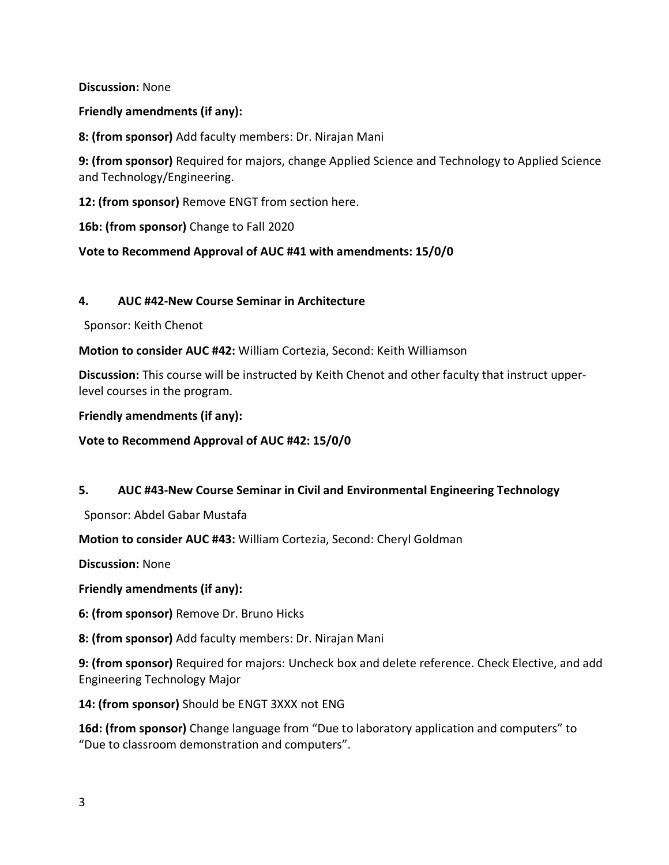**Discussion:** None

**Friendly amendments (if any):**

**8: (from sponsor)** Add faculty members: Dr. Nirajan Mani

**9: (from sponsor)** Required for majors, change Applied Science and Technology to Applied Science and Technology/Engineering.

**12: (from sponsor)** Remove ENGT from section here.

**16b: (from sponsor)** Change to Fall 2020

#### **Vote to Recommend Approval of AUC #41 with amendments: 15/0/0**

#### **4. AUC #42-New Course Seminar in Architecture**

Sponsor: Keith Chenot

**Motion to consider AUC #42:** William Cortezia, Second: Keith Williamson

**Discussion:** This course will be instructed by Keith Chenot and other faculty that instruct upperlevel courses in the program.

**Friendly amendments (if any):**

**Vote to Recommend Approval of AUC #42: 15/0/0**

#### **5. AUC #43-New Course Seminar in Civil and Environmental Engineering Technology**

Sponsor: Abdel Gabar Mustafa

**Motion to consider AUC #43:** William Cortezia, Second: Cheryl Goldman

**Discussion:** None

**Friendly amendments (if any):**

**6: (from sponsor)** Remove Dr. Bruno Hicks

**8: (from sponsor)** Add faculty members: Dr. Nirajan Mani

**9: (from sponsor)** Required for majors: Uncheck box and delete reference. Check Elective, and add Engineering Technology Major

**14: (from sponsor)** Should be ENGT 3XXX not ENG

**16d: (from sponsor)** Change language from "Due to laboratory application and computers" to "Due to classroom demonstration and computers".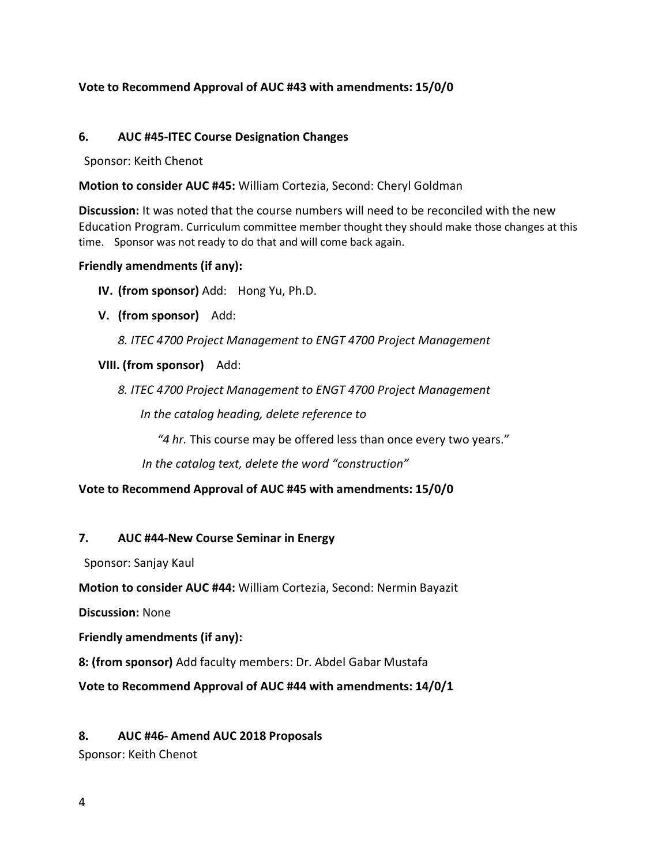## **Vote to Recommend Approval of AUC #43 with amendments: 15/0/0**

#### **6. AUC #45-ITEC Course Designation Changes**

Sponsor: Keith Chenot

**Motion to consider AUC #45:** William Cortezia, Second: Cheryl Goldman

**Discussion:** It was noted that the course numbers will need to be reconciled with the new Education Program. Curriculum committee member thought they should make those changes at this time. Sponsor was not ready to do that and will come back again.

#### **Friendly amendments (if any):**

**IV. (from sponsor)** Add: Hong Yu, Ph.D.

**V. (from sponsor)** Add:

*8. ITEC 4700 Project Management to ENGT 4700 Project Management*

#### **VIII. (from sponsor)** Add:

*8. ITEC 4700 Project Management to ENGT 4700 Project Management*

 *In the catalog heading, delete reference to* 

*"4 hr.* This course may be offered less than once every two years."

*In the catalog text, delete the word "construction"*

#### **Vote to Recommend Approval of AUC #45 with amendments: 15/0/0**

#### **7. AUC #44-New Course Seminar in Energy**

Sponsor: Sanjay Kaul

**Motion to consider AUC #44:** William Cortezia, Second: Nermin Bayazit

**Discussion:** None

**Friendly amendments (if any):** 

**8: (from sponsor)** Add faculty members: Dr. Abdel Gabar Mustafa

**Vote to Recommend Approval of AUC #44 with amendments: 14/0/1**

## **8. AUC #46- Amend AUC 2018 Proposals**

Sponsor: Keith Chenot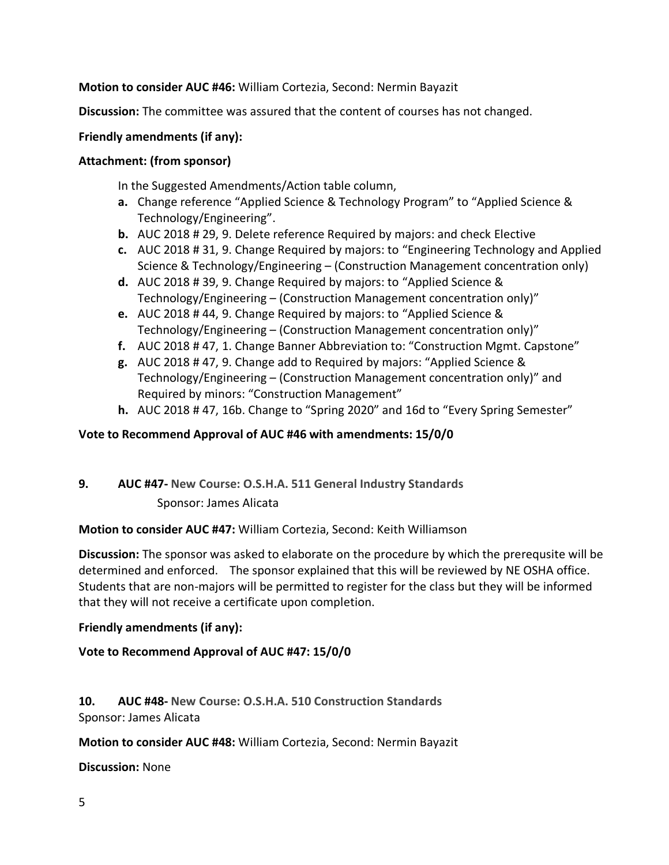## **Motion to consider AUC #46:** William Cortezia, Second: Nermin Bayazit

**Discussion:** The committee was assured that the content of courses has not changed.

## **Friendly amendments (if any):**

## **Attachment: (from sponsor)**

In the Suggested Amendments/Action table column,

- **a.** Change reference "Applied Science & Technology Program" to "Applied Science & Technology/Engineering".
- **b.** AUC 2018 # 29, 9. Delete reference Required by majors: and check Elective
- **c.** AUC 2018 # 31, 9. Change Required by majors: to "Engineering Technology and Applied Science & Technology/Engineering – (Construction Management concentration only)
- **d.** AUC 2018 # 39, 9. Change Required by majors: to "Applied Science & Technology/Engineering – (Construction Management concentration only)"
- **e.** AUC 2018 # 44, 9. Change Required by majors: to "Applied Science & Technology/Engineering – (Construction Management concentration only)"
- **f.** AUC 2018 # 47, 1. Change Banner Abbreviation to: "Construction Mgmt. Capstone"
- **g.** AUC 2018 # 47, 9. Change add to Required by majors: "Applied Science & Technology/Engineering – (Construction Management concentration only)" and Required by minors: "Construction Management"
- **h.** AUC 2018 # 47, 16b. Change to "Spring 2020" and 16d to "Every Spring Semester"

## **Vote to Recommend Approval of AUC #46 with amendments: 15/0/0**

**9. AUC #47- New Course: O.S.H.A. 511 General Industry Standards** Sponsor: James Alicata

## **Motion to consider AUC #47:** William Cortezia, Second: Keith Williamson

**Discussion:** The sponsor was asked to elaborate on the procedure by which the prerequsite will be determined and enforced. The sponsor explained that this will be reviewed by NE OSHA office. Students that are non-majors will be permitted to register for the class but they will be informed that they will not receive a certificate upon completion.

# **Friendly amendments (if any):**

# **Vote to Recommend Approval of AUC #47: 15/0/0**

**10. AUC #48- New Course: O.S.H.A. 510 Construction Standards** Sponsor: James Alicata

**Motion to consider AUC #48:** William Cortezia, Second: Nermin Bayazit

**Discussion:** None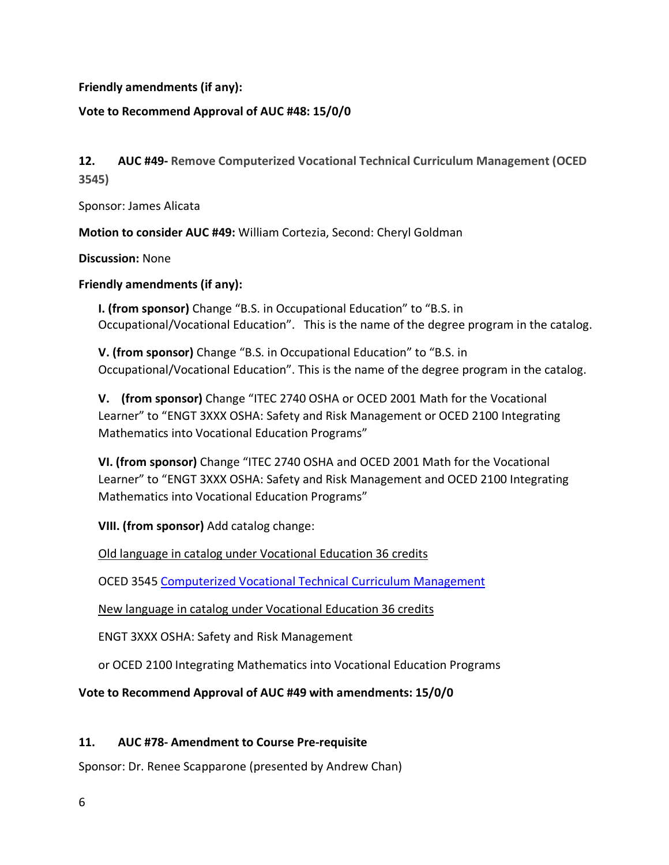**Friendly amendments (if any):**

## **Vote to Recommend Approval of AUC #48: 15/0/0**

**12. AUC #49- Remove Computerized Vocational Technical Curriculum Management (OCED 3545)**

Sponsor: James Alicata

**Motion to consider AUC #49:** William Cortezia, Second: Cheryl Goldman

**Discussion:** None

**Friendly amendments (if any):**

**I. (from sponsor)** Change "B.S. in Occupational Education" to "B.S. in Occupational/Vocational Education". This is the name of the degree program in the catalog.

**V. (from sponsor)** Change "B.S. in Occupational Education" to "B.S. in Occupational/Vocational Education". This is the name of the degree program in the catalog.

**V. (from sponsor)** Change "ITEC 2740 OSHA or OCED 2001 Math for the Vocational Learner" to "ENGT 3XXX OSHA: Safety and Risk Management or OCED 2100 Integrating Mathematics into Vocational Education Programs"

**VI. (from sponsor)** Change "ITEC 2740 OSHA and OCED 2001 Math for the Vocational Learner" to "ENGT 3XXX OSHA: Safety and Risk Management and OCED 2100 Integrating Mathematics into Vocational Education Programs"

**VIII. (from sponsor)** Add catalog change:

Old language in catalog under Vocational Education 36 credits

OCED 3545 Computerized Vocational Technical Curriculum Management

New language in catalog under Vocational Education 36 credits

ENGT 3XXX OSHA: Safety and Risk Management

or OCED 2100 Integrating Mathematics into Vocational Education Programs

**Vote to Recommend Approval of AUC #49 with amendments: 15/0/0**

## **11. AUC #78- Amendment to Course Pre-requisite**

Sponsor: Dr. Renee Scapparone (presented by Andrew Chan)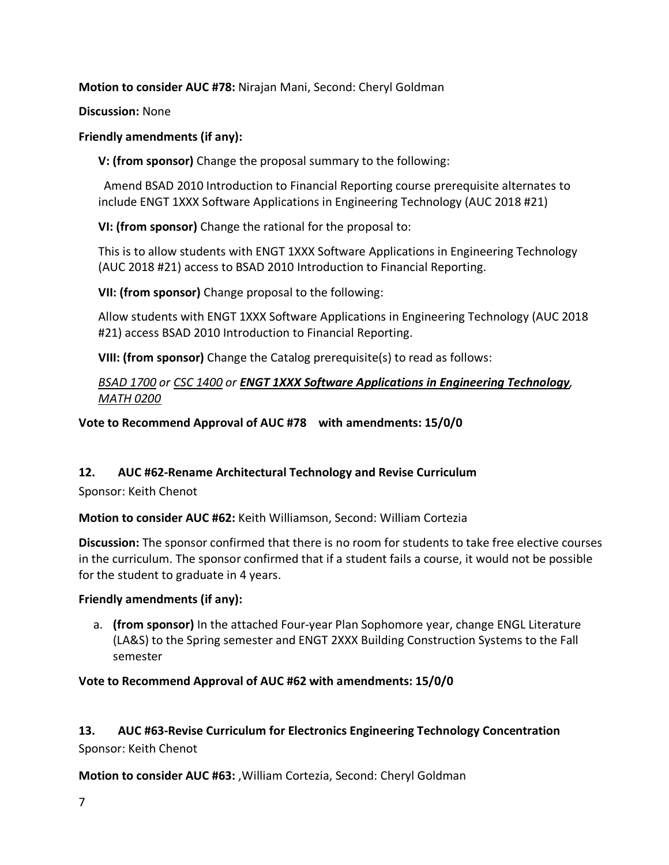**Motion to consider AUC #78:** Nirajan Mani, Second: Cheryl Goldman

**Discussion:** None

## **Friendly amendments (if any):**

**V: (from sponsor)** Change the proposal summary to the following:

Amend BSAD 2010 Introduction to Financial Reporting course prerequisite alternates to include ENGT 1XXX Software Applications in Engineering Technology (AUC 2018 #21)

**VI: (from sponsor)** Change the rational for the proposal to:

This is to allow students with ENGT 1XXX Software Applications in Engineering Technology (AUC 2018 #21) access to BSAD 2010 Introduction to Financial Reporting.

**VII: (from sponsor)** Change proposal to the following:

Allow students with ENGT 1XXX Software Applications in Engineering Technology (AUC 2018 #21) access BSAD 2010 Introduction to Financial Reporting.

**VIII: (from sponsor)** Change the Catalog prerequisite(s) to read as follows:

## *BSAD 1700 or CSC 1400 or ENGT 1XXX Software Applications in Engineering Technology, MATH 0200*

**Vote to Recommend Approval of AUC #78 with amendments: 15/0/0**

# **12. AUC #62-Rename Architectural Technology and Revise Curriculum**

Sponsor: Keith Chenot

**Motion to consider AUC #62:** Keith Williamson, Second: William Cortezia

**Discussion:** The sponsor confirmed that there is no room for students to take free elective courses in the curriculum. The sponsor confirmed that if a student fails a course, it would not be possible for the student to graduate in 4 years.

## **Friendly amendments (if any):**

a. **(from sponsor)** In the attached Four-year Plan Sophomore year, change ENGL Literature (LA&S) to the Spring semester and ENGT 2XXX Building Construction Systems to the Fall semester

# **Vote to Recommend Approval of AUC #62 with amendments: 15/0/0**

**13. AUC #63-Revise Curriculum for Electronics Engineering Technology Concentration** Sponsor: Keith Chenot

**Motion to consider AUC #63:** ,William Cortezia, Second: Cheryl Goldman